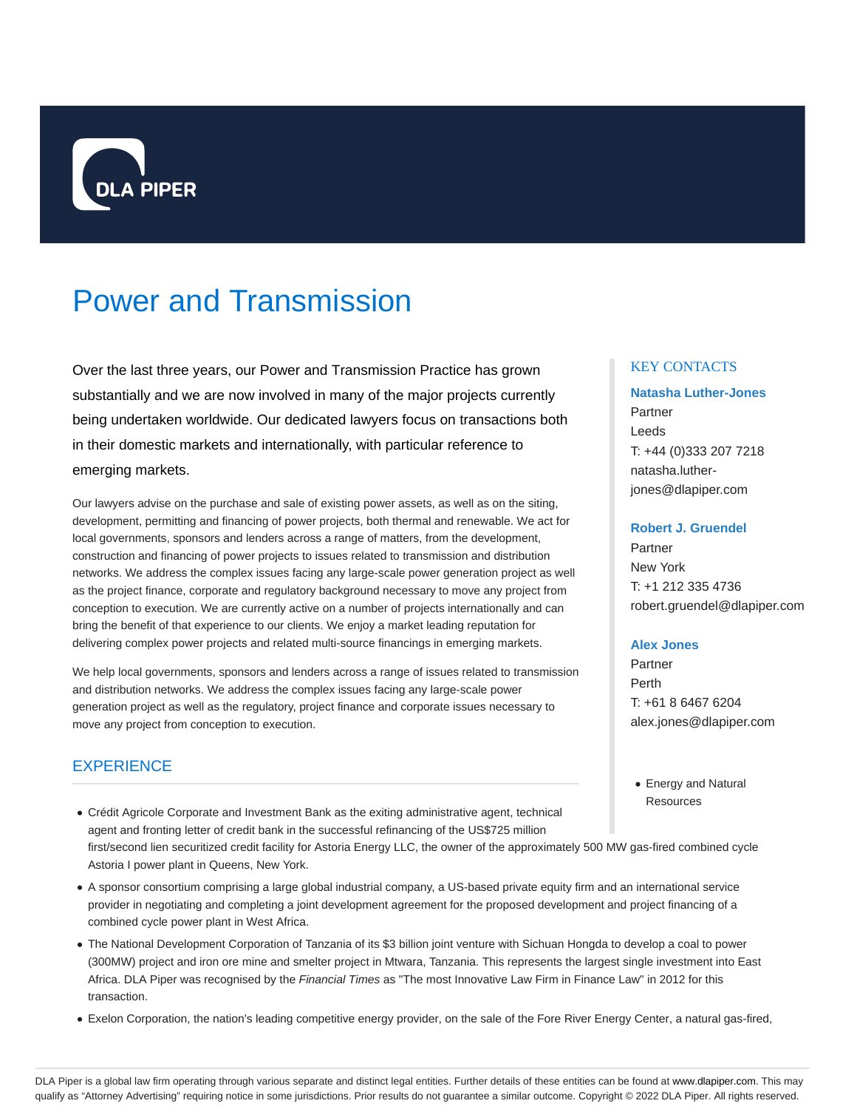

# Power and Transmission

Over the last three years, our Power and Transmission Practice has grown substantially and we are now involved in many of the major projects currently being undertaken worldwide. Our dedicated lawyers focus on transactions both in their domestic markets and internationally, with particular reference to emerging markets.

Our lawyers advise on the purchase and sale of existing power assets, as well as on the siting, development, permitting and financing of power projects, both thermal and renewable. We act for local governments, sponsors and lenders across a range of matters, from the development, construction and financing of power projects to issues related to transmission and distribution networks. We address the complex issues facing any large-scale power generation project as well as the project finance, corporate and regulatory background necessary to move any project from conception to execution. We are currently active on a number of projects internationally and can bring the benefit of that experience to our clients. We enjoy a market leading reputation for delivering complex power projects and related multi-source financings in emerging markets.

We help local governments, sponsors and lenders across a range of issues related to transmission and distribution networks. We address the complex issues facing any large-scale power generation project as well as the regulatory, project finance and corporate issues necessary to move any project from conception to execution.

# **EXPERIENCE**

- Crédit Agricole Corporate and Investment Bank as the exiting administrative agent, technical agent and fronting letter of credit bank in the successful refinancing of the US\$725 million first/second lien securitized credit facility for Astoria Energy LLC, the owner of the approximately 500 MW gas-fired combined cycle Astoria I power plant in Queens, New York.
- A sponsor consortium comprising a large global industrial company, a US-based private equity firm and an international service provider in negotiating and completing a joint development agreement for the proposed development and project financing of a combined cycle power plant in West Africa.
- The National Development Corporation of Tanzania of its \$3 billion joint venture with Sichuan Hongda to develop a coal to power (300MW) project and iron ore mine and smelter project in Mtwara, Tanzania. This represents the largest single investment into East Africa. DLA Piper was recognised by the Financial Times as "The most Innovative Law Firm in Finance Law" in 2012 for this transaction.
- Exelon Corporation, the nation's leading competitive energy provider, on the sale of the Fore River Energy Center, a natural gas-fired,

#### KEY CONTACTS

## **Natasha Luther-Jones** Partner Leeds T: +44 (0)333 207 7218 natasha.lutherjones@dlapiper.com

#### **Robert J. Gruendel**

Partner New York T: +1 212 335 4736 robert.gruendel@dlapiper.com

#### **Alex Jones**

Partner Perth T: +61 8 6467 6204 alex.jones@dlapiper.com

Energy and Natural **Resources** 

DLA Piper is a global law firm operating through various separate and distinct legal entities. Further details of these entities can be found at www.dlapiper.com. This may qualify as "Attorney Advertising" requiring notice in some jurisdictions. Prior results do not guarantee a similar outcome. Copyright @ 2022 DLA Piper. All rights reserved.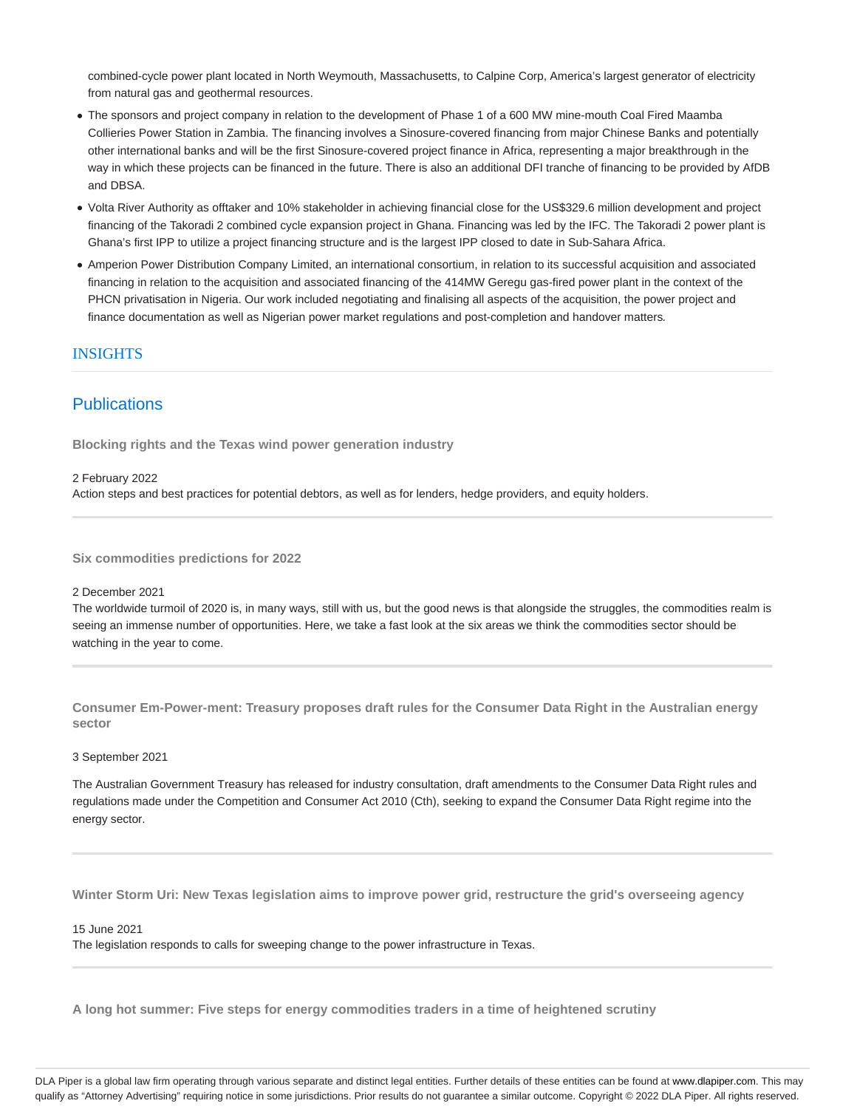combined-cycle power plant located in North Weymouth, Massachusetts, to Calpine Corp, America's largest generator of electricity from natural gas and geothermal resources.

- The sponsors and project company in relation to the development of Phase 1 of a 600 MW mine-mouth Coal Fired Maamba Collieries Power Station in Zambia. The financing involves a Sinosure-covered financing from major Chinese Banks and potentially other international banks and will be the first Sinosure-covered project finance in Africa, representing a major breakthrough in the way in which these projects can be financed in the future. There is also an additional DFI tranche of financing to be provided by AfDB and DBSA.
- Volta River Authority as offtaker and 10% stakeholder in achieving financial close for the US\$329.6 million development and project financing of the Takoradi 2 combined cycle expansion project in Ghana. Financing was led by the IFC. The Takoradi 2 power plant is Ghana's first IPP to utilize a project financing structure and is the largest IPP closed to date in Sub-Sahara Africa.
- Amperion Power Distribution Company Limited, an international consortium, in relation to its successful acquisition and associated financing in relation to the acquisition and associated financing of the 414MW Geregu gas-fired power plant in the context of the PHCN privatisation in Nigeria. Our work included negotiating and finalising all aspects of the acquisition, the power project and finance documentation as well as Nigerian power market regulations and post-completion and handover matters.

## INSIGHTS

## Publications

**Blocking rights and the Texas wind power generation industry**

2 February 2022 Action steps and best practices for potential debtors, as well as for lenders, hedge providers, and equity holders.

**Six commodities predictions for 2022**

2 December 2021

The worldwide turmoil of 2020 is, in many ways, still with us, but the good news is that alongside the struggles, the commodities realm is seeing an immense number of opportunities. Here, we take a fast look at the six areas we think the commodities sector should be watching in the year to come.

**Consumer Em-Power-ment: Treasury proposes draft rules for the Consumer Data Right in the Australian energy sector**

#### 3 September 2021

The Australian Government Treasury has released for industry consultation, draft amendments to the Consumer Data Right rules and regulations made under the Competition and Consumer Act 2010 (Cth), seeking to expand the Consumer Data Right regime into the energy sector.

**Winter Storm Uri: New Texas legislation aims to improve power grid, restructure the grid's overseeing agency**

15 June 2021

The legislation responds to calls for sweeping change to the power infrastructure in Texas.

**A long hot summer: Five steps for energy commodities traders in a time of heightened scrutiny**

DLA Piper is a global law firm operating through various separate and distinct legal entities. Further details of these entities can be found at www.dlapiper.com. This may qualify as "Attorney Advertising" requiring notice in some jurisdictions. Prior results do not guarantee a similar outcome. Copyright @ 2022 DLA Piper. All rights reserved.